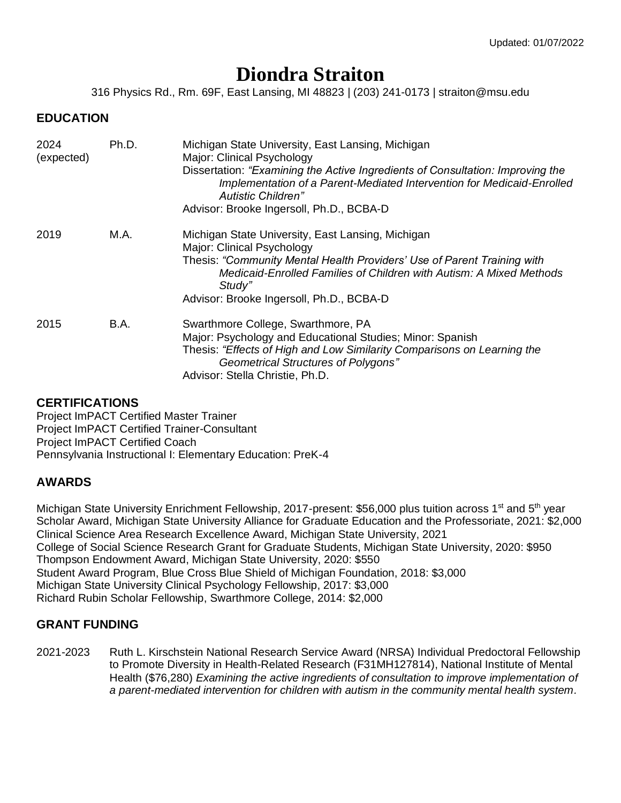# **Diondra Straiton**

316 Physics Rd., Rm. 69F, East Lansing, MI 48823 | (203) 241-0173 | straiton@msu.edu

# **EDUCATION**

| 2024<br>(expected) | Ph.D. | Michigan State University, East Lansing, Michigan<br>Major: Clinical Psychology<br>Dissertation: "Examining the Active Ingredients of Consultation: Improving the<br>Implementation of a Parent-Mediated Intervention for Medicaid-Enrolled<br>Autistic Children"<br>Advisor: Brooke Ingersoll, Ph.D., BCBA-D |
|--------------------|-------|---------------------------------------------------------------------------------------------------------------------------------------------------------------------------------------------------------------------------------------------------------------------------------------------------------------|
| 2019               | M.A.  | Michigan State University, East Lansing, Michigan<br>Major: Clinical Psychology<br>Thesis: "Community Mental Health Providers' Use of Parent Training with<br>Medicaid-Enrolled Families of Children with Autism: A Mixed Methods<br>Study"<br>Advisor: Brooke Ingersoll, Ph.D., BCBA-D                       |
| 2015               | B.A.  | Swarthmore College, Swarthmore, PA<br>Major: Psychology and Educational Studies; Minor: Spanish<br>Thesis: "Effects of High and Low Similarity Comparisons on Learning the<br><b>Geometrical Structures of Polygons"</b><br>Advisor: Stella Christie, Ph.D.                                                   |

# **CERTIFICATIONS**

Project ImPACT Certified Master Trainer Project ImPACT Certified Trainer-Consultant Project ImPACT Certified Coach Pennsylvania Instructional I: Elementary Education: PreK-4

# **AWARDS**

Michigan State University Enrichment Fellowship, 2017-present: \$56,000 plus tuition across 1<sup>st</sup> and 5<sup>th</sup> year Scholar Award, Michigan State University Alliance for Graduate Education and the Professoriate, 2021: \$2,000 Clinical Science Area Research Excellence Award, Michigan State University, 2021 College of Social Science Research Grant for Graduate Students, Michigan State University, 2020: \$950 Thompson Endowment Award, Michigan State University, 2020: \$550 Student Award Program, Blue Cross Blue Shield of Michigan Foundation, 2018: \$3,000 Michigan State University Clinical Psychology Fellowship, 2017: \$3,000 Richard Rubin Scholar Fellowship, Swarthmore College, 2014: \$2,000

# **GRANT FUNDING**

2021-2023 Ruth L. Kirschstein National Research Service Award (NRSA) Individual Predoctoral Fellowship to Promote Diversity in Health-Related Research (F31MH127814), National Institute of Mental Health (\$76,280) *Examining the active ingredients of consultation to improve implementation of a parent-mediated intervention for children with autism in the community mental health system.*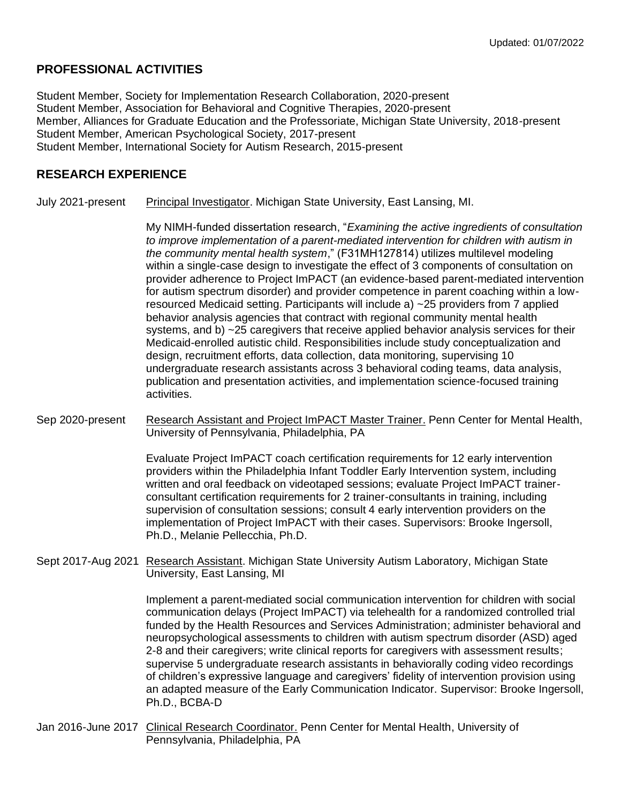# **PROFESSIONAL ACTIVITIES**

Student Member, Society for Implementation Research Collaboration, 2020-present Student Member, Association for Behavioral and Cognitive Therapies, 2020-present Member, Alliances for Graduate Education and the Professoriate, Michigan State University, 2018-present Student Member, American Psychological Society, 2017-present Student Member, International Society for Autism Research, 2015-present

# **RESEARCH EXPERIENCE**

July 2021-present Principal Investigator. Michigan State University, East Lansing, MI.

My NIMH-funded dissertation research, "*Examining the active ingredients of consultation to improve implementation of a parent-mediated intervention for children with autism in the community mental health system*," (F31MH127814) utilizes multilevel modeling within a single-case design to investigate the effect of 3 components of consultation on provider adherence to Project ImPACT (an evidence-based parent-mediated intervention for autism spectrum disorder) and provider competence in parent coaching within a lowresourced Medicaid setting. Participants will include a) ~25 providers from 7 applied behavior analysis agencies that contract with regional community mental health systems, and b) ~25 caregivers that receive applied behavior analysis services for their Medicaid-enrolled autistic child. Responsibilities include study conceptualization and design, recruitment efforts, data collection, data monitoring, supervising 10 undergraduate research assistants across 3 behavioral coding teams, data analysis, publication and presentation activities, and implementation science-focused training activities.

Sep 2020-present Research Assistant and Project ImPACT Master Trainer. Penn Center for Mental Health, University of Pennsylvania, Philadelphia, PA

> Evaluate Project ImPACT coach certification requirements for 12 early intervention providers within the Philadelphia Infant Toddler Early Intervention system, including written and oral feedback on videotaped sessions; evaluate Project ImPACT trainerconsultant certification requirements for 2 trainer-consultants in training, including supervision of consultation sessions; consult 4 early intervention providers on the implementation of Project ImPACT with their cases. Supervisors: Brooke Ingersoll, Ph.D., Melanie Pellecchia, Ph.D.

Sept 2017-Aug 2021 Research Assistant. Michigan State University Autism Laboratory, Michigan State University, East Lansing, MI

> Implement a parent-mediated social communication intervention for children with social communication delays (Project ImPACT) via telehealth for a randomized controlled trial funded by the Health Resources and Services Administration; administer behavioral and neuropsychological assessments to children with autism spectrum disorder (ASD) aged 2-8 and their caregivers; write clinical reports for caregivers with assessment results; supervise 5 undergraduate research assistants in behaviorally coding video recordings of children's expressive language and caregivers' fidelity of intervention provision using an adapted measure of the Early Communication Indicator. Supervisor: Brooke Ingersoll, Ph.D., BCBA-D

Jan 2016-June 2017 Clinical Research Coordinator. Penn Center for Mental Health, University of Pennsylvania, Philadelphia, PA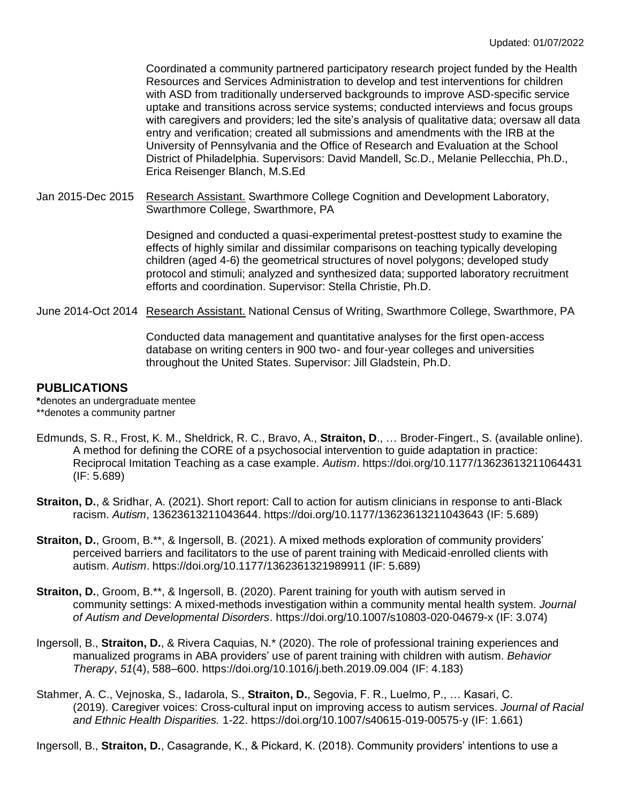Coordinated a community partnered participatory research project funded by the Health Resources and Services Administration to develop and test interventions for children with ASD from traditionally underserved backgrounds to improve ASD-specific service uptake and transitions across service systems; conducted interviews and focus groups with caregivers and providers; led the site's analysis of qualitative data; oversaw all data entry and verification; created all submissions and amendments with the IRB at the University of Pennsylvania and the Office of Research and Evaluation at the School District of Philadelphia. Supervisors: David Mandell, Sc.D., Melanie Pellecchia, Ph.D., Erica Reisenger Blanch, M.S.Ed

Jan 2015-Dec 2015 Research Assistant. Swarthmore College Cognition and Development Laboratory, Swarthmore College, Swarthmore, PA

> Designed and conducted a quasi-experimental pretest-posttest study to examine the effects of highly similar and dissimilar comparisons on teaching typically developing children (aged 4-6) the geometrical structures of novel polygons; developed study protocol and stimuli; analyzed and synthesized data; supported laboratory recruitment efforts and coordination. Supervisor: Stella Christie, Ph.D.

June 2014-Oct 2014 Research Assistant. National Census of Writing, Swarthmore College, Swarthmore, PA

Conducted data management and quantitative analyses for the first open-access database on writing centers in 900 two- and four-year colleges and universities throughout the United States. Supervisor: Jill Gladstein, Ph.D.

## **PUBLICATIONS**

**\***denotes an undergraduate mentee \*\*denotes a community partner

- Edmunds, S. R., Frost, K. M., Sheldrick, R. C., Bravo, A., **Straiton, D**., … Broder-Fingert., S. (available online). A method for defining the CORE of a psychosocial intervention to guide adaptation in practice: Reciprocal Imitation Teaching as a case example. *Autism*. https://doi.org/10.1177/13623613211064431 (IF: 5.689)
- **Straiton, D.**, & Sridhar, A. (2021). Short report: Call to action for autism clinicians in response to anti-Black racism. *Autism*, 13623613211043644. https://doi.org/10.1177/13623613211043643 (IF: 5.689)
- **Straiton, D.**, Groom, B.\*\*, & Ingersoll, B. (2021). A mixed methods exploration of community providers' perceived barriers and facilitators to the use of parent training with Medicaid-enrolled clients with autism. *Autism*. https://doi.org/10.1177/1362361321989911 (IF: 5.689)
- **Straiton, D.**, Groom, B.\*\*, & Ingersoll, B. (2020). Parent training for youth with autism served in community settings: A mixed-methods investigation within a community mental health system. *Journal of Autism and Developmental Disorders*. https://doi.org/10.1007/s10803-020-04679-x (IF: 3.074)
- Ingersoll, B., **Straiton, D.**, & Rivera Caquias, N.\* (2020). The role of professional training experiences and manualized programs in ABA providers' use of parent training with children with autism. *Behavior Therapy*, *51*(4), 588–600. https://doi.org/10.1016/j.beth.2019.09.004 (IF: 4.183)
- Stahmer, A. C., Vejnoska, S., Iadarola, S., **Straiton, D.**, Segovia, F. R., Luelmo, P., … Kasari, C. (2019). Caregiver voices: Cross-cultural input on improving access to autism services. *Journal of Racial and Ethnic Health Disparities.* 1-22. https://doi.org/10.1007/s40615-019-00575-y (IF: 1.661)

Ingersoll, B., **Straiton, D.**, Casagrande, K., & Pickard, K. (2018). Community providers' intentions to use a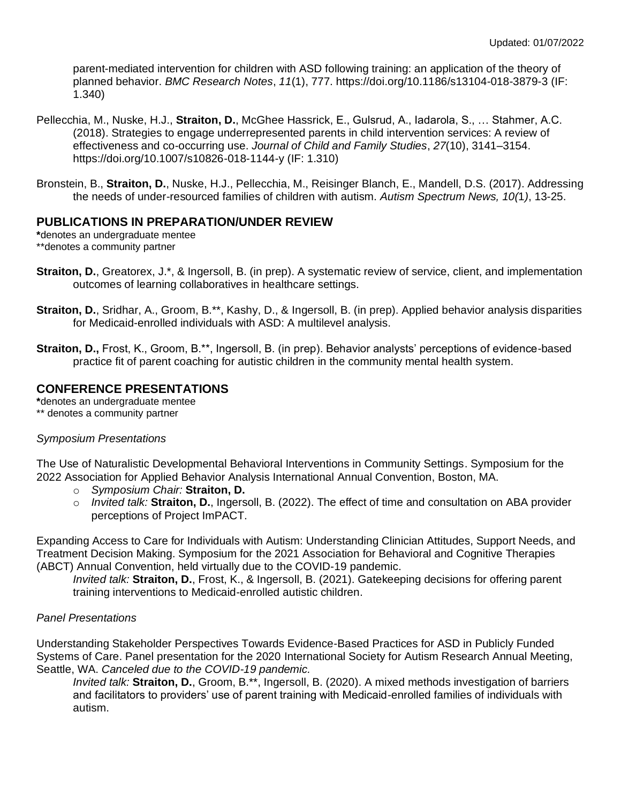parent-mediated intervention for children with ASD following training: an application of the theory of planned behavior. *BMC Research Notes*, *11*(1), 777. https://doi.org/10.1186/s13104-018-3879-3 (IF: 1.340)

- Pellecchia, M., Nuske, H.J., **Straiton, D.**, McGhee Hassrick, E., Gulsrud, A., Iadarola, S., … Stahmer, A.C. (2018). Strategies to engage underrepresented parents in child intervention services: A review of effectiveness and co-occurring use. *Journal of Child and Family Studies*, *27*(10), 3141–3154. https://doi.org/10.1007/s10826-018-1144-y (IF: 1.310)
- Bronstein, B., **Straiton, D.**, Nuske, H.J., Pellecchia, M., Reisinger Blanch, E., Mandell, D.S. (2017). Addressing the needs of under-resourced families of children with autism. *Autism Spectrum News, 10(*1*)*, 13-25.

## **PUBLICATIONS IN PREPARATION/UNDER REVIEW**

**\***denotes an undergraduate mentee \*\*denotes a community partner

- **Straiton, D.**, Greatorex, J.\*, & Ingersoll, B. (in prep). A systematic review of service, client, and implementation outcomes of learning collaboratives in healthcare settings.
- **Straiton, D.**, Sridhar, A., Groom, B.\*\*, Kashy, D., & Ingersoll, B. (in prep). Applied behavior analysis disparities for Medicaid-enrolled individuals with ASD: A multilevel analysis.
- **Straiton, D.,** Frost, K., Groom, B.\*\*, Ingersoll, B. (in prep). Behavior analysts' perceptions of evidence-based practice fit of parent coaching for autistic children in the community mental health system.

# **CONFERENCE PRESENTATIONS**

**\***denotes an undergraduate mentee \*\* denotes a community partner

#### *Symposium Presentations*

The Use of Naturalistic Developmental Behavioral Interventions in Community Settings. Symposium for the 2022 Association for Applied Behavior Analysis International Annual Convention, Boston, MA.

- o *Symposium Chair:* **Straiton, D.**
- o *Invited talk:* **Straiton, D.**, Ingersoll, B. (2022). The effect of time and consultation on ABA provider perceptions of Project ImPACT.

Expanding Access to Care for Individuals with Autism: Understanding Clinician Attitudes, Support Needs, and Treatment Decision Making. Symposium for the 2021 Association for Behavioral and Cognitive Therapies (ABCT) Annual Convention, held virtually due to the COVID-19 pandemic.

*Invited talk:* **Straiton, D.**, Frost, K., & Ingersoll, B. (2021). Gatekeeping decisions for offering parent training interventions to Medicaid-enrolled autistic children.

## *Panel Presentations*

Understanding Stakeholder Perspectives Towards Evidence-Based Practices for ASD in Publicly Funded Systems of Care. Panel presentation for the 2020 International Society for Autism Research Annual Meeting, Seattle, WA. *Canceled due to the COVID-19 pandemic.*

*Invited talk:* **Straiton, D.**, Groom, B.\*\*, Ingersoll, B. (2020). A mixed methods investigation of barriers and facilitators to providers' use of parent training with Medicaid-enrolled families of individuals with autism.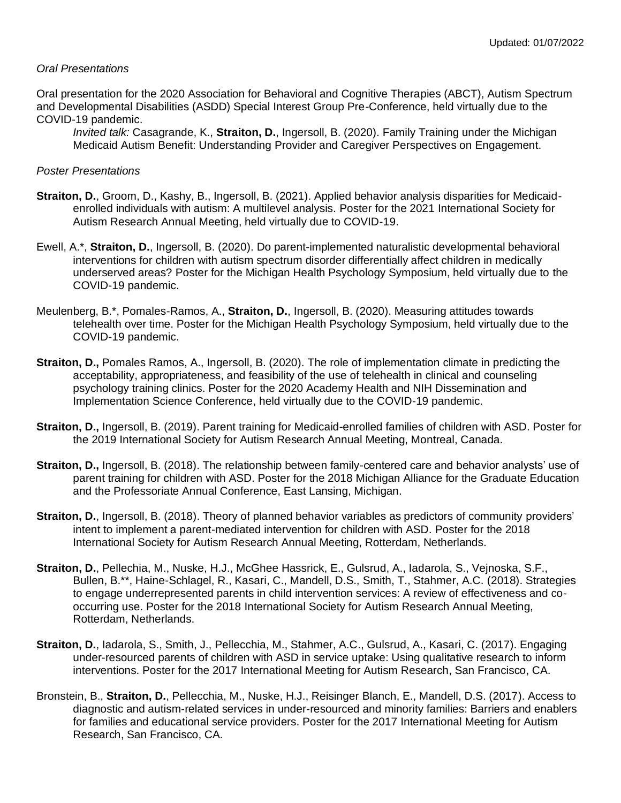## *Oral Presentations*

Oral presentation for the 2020 Association for Behavioral and Cognitive Therapies (ABCT), Autism Spectrum and Developmental Disabilities (ASDD) Special Interest Group Pre-Conference, held virtually due to the COVID-19 pandemic.

*Invited talk:* Casagrande, K., **Straiton, D.**, Ingersoll, B. (2020). Family Training under the Michigan Medicaid Autism Benefit: Understanding Provider and Caregiver Perspectives on Engagement.

#### *Poster Presentations*

- **Straiton, D.**, Groom, D., Kashy, B., Ingersoll, B. (2021). Applied behavior analysis disparities for Medicaidenrolled individuals with autism: A multilevel analysis. Poster for the 2021 International Society for Autism Research Annual Meeting, held virtually due to COVID-19.
- Ewell, A.\*, **Straiton, D.**, Ingersoll, B. (2020). Do parent-implemented naturalistic developmental behavioral interventions for children with autism spectrum disorder differentially affect children in medically underserved areas? Poster for the Michigan Health Psychology Symposium, held virtually due to the COVID-19 pandemic.
- Meulenberg, B.\*, Pomales-Ramos, A., **Straiton, D.**, Ingersoll, B. (2020). Measuring attitudes towards telehealth over time. Poster for the Michigan Health Psychology Symposium, held virtually due to the COVID-19 pandemic.
- **Straiton, D.,** Pomales Ramos, A., Ingersoll, B. (2020). The role of implementation climate in predicting the acceptability, appropriateness, and feasibility of the use of telehealth in clinical and counseling psychology training clinics. Poster for the 2020 Academy Health and NIH Dissemination and Implementation Science Conference, held virtually due to the COVID-19 pandemic.
- **Straiton, D.,** Ingersoll, B. (2019). Parent training for Medicaid-enrolled families of children with ASD. Poster for the 2019 International Society for Autism Research Annual Meeting, Montreal, Canada.
- **Straiton, D.,** Ingersoll, B. (2018). The relationship between family-centered care and behavior analysts' use of parent training for children with ASD. Poster for the 2018 Michigan Alliance for the Graduate Education and the Professoriate Annual Conference, East Lansing, Michigan.
- **Straiton, D.**, Ingersoll, B. (2018). Theory of planned behavior variables as predictors of community providers' intent to implement a parent-mediated intervention for children with ASD. Poster for the 2018 International Society for Autism Research Annual Meeting, Rotterdam, Netherlands.
- **Straiton, D.**, Pellechia, M., Nuske, H.J., McGhee Hassrick, E., Gulsrud, A., Iadarola, S., Vejnoska, S.F., Bullen, B.\*\*, Haine-Schlagel, R., Kasari, C., Mandell, D.S., Smith, T., Stahmer, A.C. (2018). Strategies to engage underrepresented parents in child intervention services: A review of effectiveness and cooccurring use. Poster for the 2018 International Society for Autism Research Annual Meeting, Rotterdam, Netherlands.
- **Straiton, D.**, Iadarola, S., Smith, J., Pellecchia, M., Stahmer, A.C., Gulsrud, A., Kasari, C. (2017). Engaging under-resourced parents of children with ASD in service uptake: Using qualitative research to inform interventions. Poster for the 2017 International Meeting for Autism Research, San Francisco, CA.
- Bronstein, B., **Straiton, D.**, Pellecchia, M., Nuske, H.J., Reisinger Blanch, E., Mandell, D.S. (2017). Access to diagnostic and autism-related services in under-resourced and minority families: Barriers and enablers for families and educational service providers. Poster for the 2017 International Meeting for Autism Research, San Francisco, CA.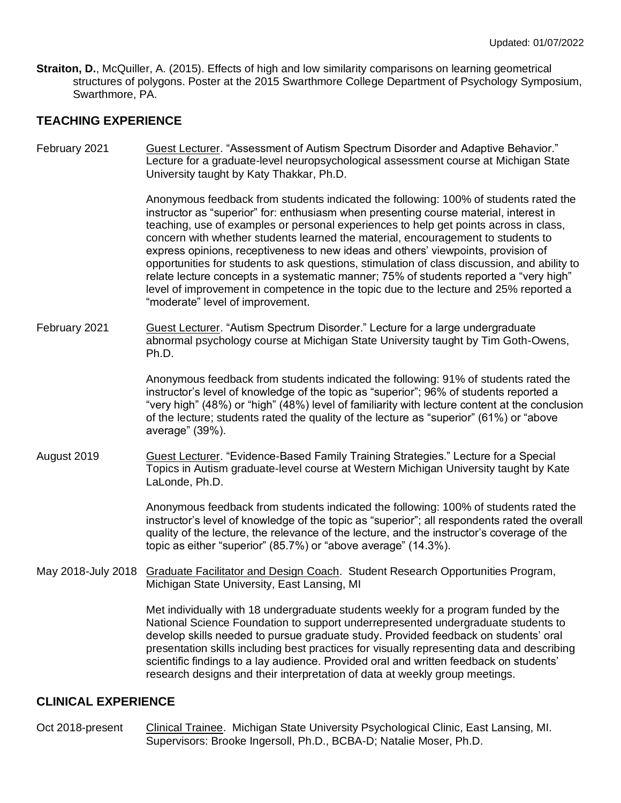**Straiton, D.**, McQuiller, A. (2015). Effects of high and low similarity comparisons on learning geometrical structures of polygons. Poster at the 2015 Swarthmore College Department of Psychology Symposium, Swarthmore, PA.

## **TEACHING EXPERIENCE**

February 2021 Guest Lecturer. "Assessment of Autism Spectrum Disorder and Adaptive Behavior." Lecture for a graduate-level neuropsychological assessment course at Michigan State University taught by Katy Thakkar, Ph.D.

> Anonymous feedback from students indicated the following: 100% of students rated the instructor as "superior" for: enthusiasm when presenting course material, interest in teaching, use of examples or personal experiences to help get points across in class, concern with whether students learned the material, encouragement to students to express opinions, receptiveness to new ideas and others' viewpoints, provision of opportunities for students to ask questions, stimulation of class discussion, and ability to relate lecture concepts in a systematic manner; 75% of students reported a "very high" level of improvement in competence in the topic due to the lecture and 25% reported a "moderate" level of improvement.

February 2021 Guest Lecturer. "Autism Spectrum Disorder." Lecture for a large undergraduate abnormal psychology course at Michigan State University taught by Tim Goth-Owens, Ph.D.

> Anonymous feedback from students indicated the following: 91% of students rated the instructor's level of knowledge of the topic as "superior"; 96% of students reported a "very high" (48%) or "high" (48%) level of familiarity with lecture content at the conclusion of the lecture; students rated the quality of the lecture as "superior" (61%) or "above average" (39%).

August 2019 **Guest Lecturer. "Evidence-Based Family Training Strategies." Lecture for a Special** Topics in Autism graduate-level course at Western Michigan University taught by Kate LaLonde, Ph.D.

> Anonymous feedback from students indicated the following: 100% of students rated the instructor's level of knowledge of the topic as "superior"; all respondents rated the overall quality of the lecture, the relevance of the lecture, and the instructor's coverage of the topic as either "superior" (85.7%) or "above average" (14.3%).

May 2018-July 2018 Graduate Facilitator and Design Coach. Student Research Opportunities Program, Michigan State University, East Lansing, MI

> Met individually with 18 undergraduate students weekly for a program funded by the National Science Foundation to support underrepresented undergraduate students to develop skills needed to pursue graduate study. Provided feedback on students' oral presentation skills including best practices for visually representing data and describing scientific findings to a lay audience. Provided oral and written feedback on students' research designs and their interpretation of data at weekly group meetings.

## **CLINICAL EXPERIENCE**

Oct 2018-present Clinical Trainee. Michigan State University Psychological Clinic, East Lansing, MI. Supervisors: Brooke Ingersoll, Ph.D., BCBA-D; Natalie Moser, Ph.D.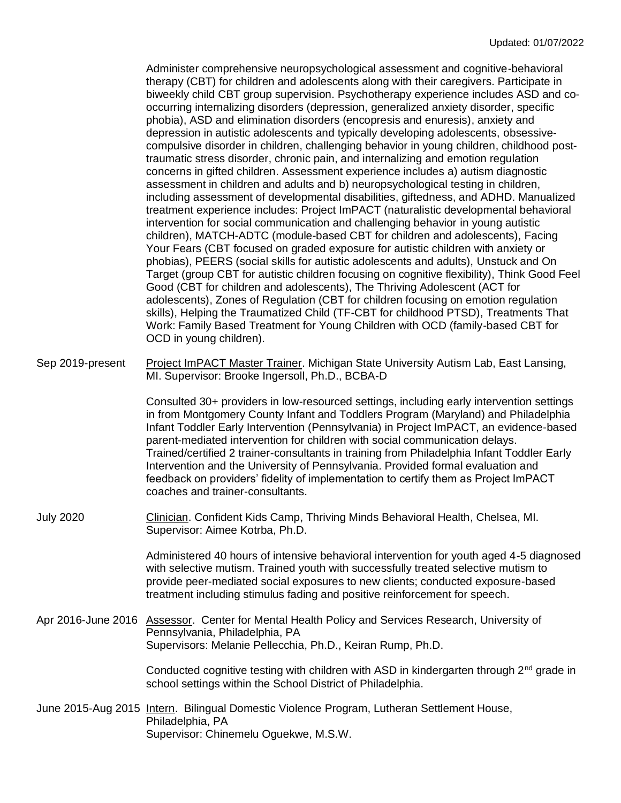Administer comprehensive neuropsychological assessment and cognitive-behavioral therapy (CBT) for children and adolescents along with their caregivers. Participate in biweekly child CBT group supervision. Psychotherapy experience includes ASD and cooccurring internalizing disorders (depression, generalized anxiety disorder, specific phobia), ASD and elimination disorders (encopresis and enuresis), anxiety and depression in autistic adolescents and typically developing adolescents, obsessivecompulsive disorder in children, challenging behavior in young children, childhood posttraumatic stress disorder, chronic pain, and internalizing and emotion regulation concerns in gifted children. Assessment experience includes a) autism diagnostic assessment in children and adults and b) neuropsychological testing in children, including assessment of developmental disabilities, giftedness, and ADHD. Manualized treatment experience includes: Project ImPACT (naturalistic developmental behavioral intervention for social communication and challenging behavior in young autistic children), MATCH-ADTC (module-based CBT for children and adolescents), Facing Your Fears (CBT focused on graded exposure for autistic children with anxiety or phobias), PEERS (social skills for autistic adolescents and adults), Unstuck and On Target (group CBT for autistic children focusing on cognitive flexibility), Think Good Feel Good (CBT for children and adolescents), The Thriving Adolescent (ACT for adolescents), Zones of Regulation (CBT for children focusing on emotion regulation skills), Helping the Traumatized Child (TF-CBT for childhood PTSD), Treatments That Work: Family Based Treatment for Young Children with OCD (family-based CBT for OCD in young children).

Sep 2019-present Project ImPACT Master Trainer. Michigan State University Autism Lab, East Lansing, MI. Supervisor: Brooke Ingersoll, Ph.D., BCBA-D

> Consulted 30+ providers in low-resourced settings, including early intervention settings in from Montgomery County Infant and Toddlers Program (Maryland) and Philadelphia Infant Toddler Early Intervention (Pennsylvania) in Project ImPACT, an evidence-based parent-mediated intervention for children with social communication delays. Trained/certified 2 trainer-consultants in training from Philadelphia Infant Toddler Early Intervention and the University of Pennsylvania. Provided formal evaluation and feedback on providers' fidelity of implementation to certify them as Project ImPACT coaches and trainer-consultants.

July 2020 Clinician. Confident Kids Camp, Thriving Minds Behavioral Health, Chelsea, MI. Supervisor: Aimee Kotrba, Ph.D.

> Administered 40 hours of intensive behavioral intervention for youth aged 4-5 diagnosed with selective mutism. Trained youth with successfully treated selective mutism to provide peer-mediated social exposures to new clients; conducted exposure-based treatment including stimulus fading and positive reinforcement for speech.

Apr 2016-June 2016 Assessor. Center for Mental Health Policy and Services Research, University of Pennsylvania, Philadelphia, PA Supervisors: Melanie Pellecchia, Ph.D., Keiran Rump, Ph.D.

> Conducted cognitive testing with children with ASD in kindergarten through  $2<sup>nd</sup>$  grade in school settings within the School District of Philadelphia.

June 2015-Aug 2015 Intern. Bilingual Domestic Violence Program, Lutheran Settlement House, Philadelphia, PA Supervisor: Chinemelu Oguekwe, M.S.W.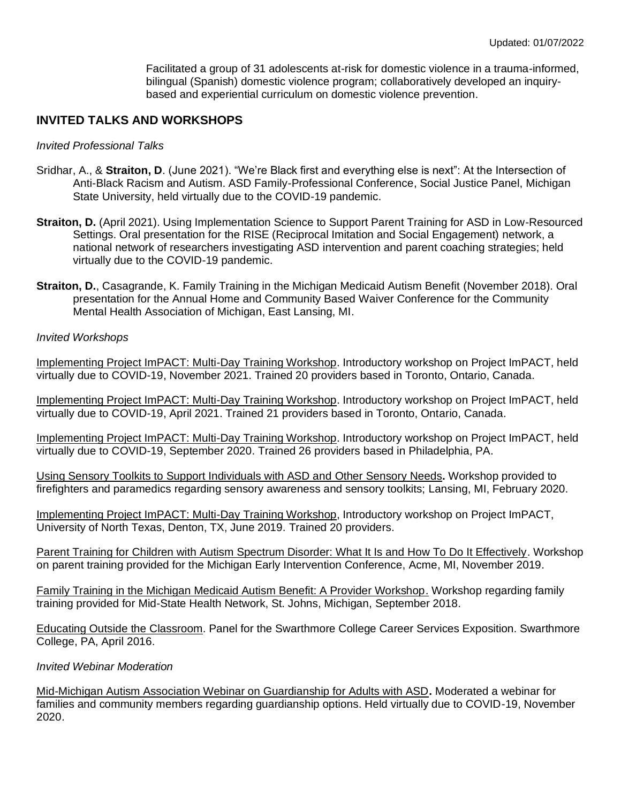Facilitated a group of 31 adolescents at-risk for domestic violence in a trauma-informed, bilingual (Spanish) domestic violence program; collaboratively developed an inquirybased and experiential curriculum on domestic violence prevention.

# **INVITED TALKS AND WORKSHOPS**

#### *Invited Professional Talks*

- Sridhar, A., & **Straiton, D**. (June 2021). "We're Black first and everything else is next": At the Intersection of Anti-Black Racism and Autism. ASD Family-Professional Conference, Social Justice Panel, Michigan State University, held virtually due to the COVID-19 pandemic.
- **Straiton, D.** (April 2021). Using Implementation Science to Support Parent Training for ASD in Low-Resourced Settings. Oral presentation for the RISE (Reciprocal Imitation and Social Engagement) network, a national network of researchers investigating ASD intervention and parent coaching strategies; held virtually due to the COVID-19 pandemic.
- **Straiton, D.**, Casagrande, K. Family Training in the Michigan Medicaid Autism Benefit (November 2018). Oral presentation for the Annual Home and Community Based Waiver Conference for the Community Mental Health Association of Michigan, East Lansing, MI.

#### *Invited Workshops*

Implementing Project ImPACT: Multi-Day Training Workshop. Introductory workshop on Project ImPACT, held virtually due to COVID-19, November 2021. Trained 20 providers based in Toronto, Ontario, Canada.

Implementing Project ImPACT: Multi-Day Training Workshop. Introductory workshop on Project ImPACT, held virtually due to COVID-19, April 2021. Trained 21 providers based in Toronto, Ontario, Canada.

Implementing Project ImPACT: Multi-Day Training Workshop. Introductory workshop on Project ImPACT, held virtually due to COVID-19, September 2020. Trained 26 providers based in Philadelphia, PA.

Using Sensory Toolkits to Support Individuals with ASD and Other Sensory Needs**.** Workshop provided to firefighters and paramedics regarding sensory awareness and sensory toolkits; Lansing, MI, February 2020.

Implementing Project ImPACT: Multi-Day Training Workshop, Introductory workshop on Project ImPACT, University of North Texas, Denton, TX, June 2019. Trained 20 providers.

Parent Training for Children with Autism Spectrum Disorder: What It Is and How To Do It Effectively. Workshop on parent training provided for the Michigan Early Intervention Conference, Acme, MI, November 2019.

Family Training in the Michigan Medicaid Autism Benefit: A Provider Workshop. Workshop regarding family training provided for Mid-State Health Network, St. Johns, Michigan, September 2018.

Educating Outside the Classroom. Panel for the Swarthmore College Career Services Exposition. Swarthmore College, PA, April 2016.

#### *Invited Webinar Moderation*

Mid-Michigan Autism Association Webinar on Guardianship for Adults with ASD**.** Moderated a webinar for families and community members regarding guardianship options. Held virtually due to COVID-19, November 2020.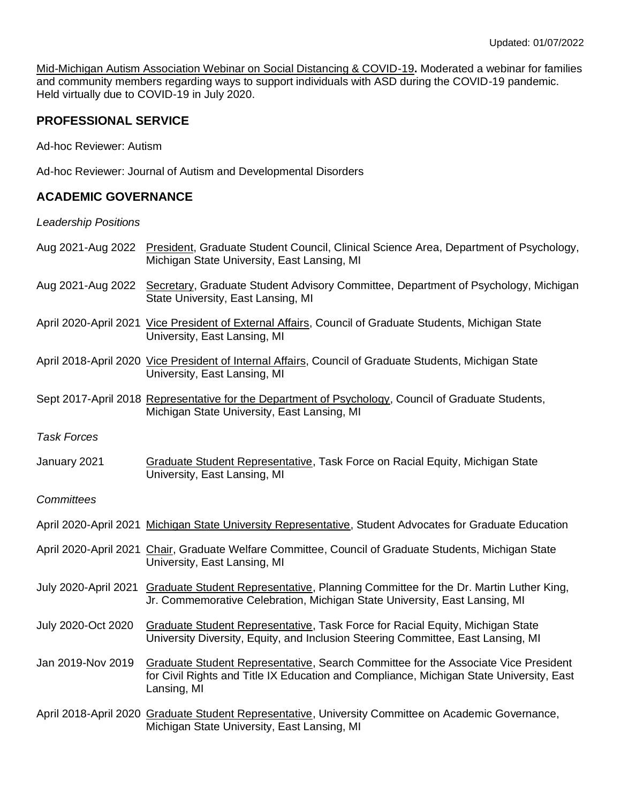Mid-Michigan Autism Association Webinar on Social Distancing & COVID-19**.** Moderated a webinar for families and community members regarding ways to support individuals with ASD during the COVID-19 pandemic. Held virtually due to COVID-19 in July 2020.

# **PROFESSIONAL SERVICE**

Ad-hoc Reviewer: Autism

Ad-hoc Reviewer: Journal of Autism and Developmental Disorders

# **ACADEMIC GOVERNANCE**

### *Leadership Positions*

|                    | Aug 2021-Aug 2022 President, Graduate Student Council, Clinical Science Area, Department of Psychology,<br>Michigan State University, East Lansing, MI                                       |
|--------------------|----------------------------------------------------------------------------------------------------------------------------------------------------------------------------------------------|
|                    | Aug 2021-Aug 2022 Secretary, Graduate Student Advisory Committee, Department of Psychology, Michigan<br>State University, East Lansing, MI                                                   |
|                    | April 2020-April 2021 Vice President of External Affairs, Council of Graduate Students, Michigan State<br>University, East Lansing, MI                                                       |
|                    | April 2018-April 2020 Vice President of Internal Affairs, Council of Graduate Students, Michigan State<br>University, East Lansing, MI                                                       |
|                    | Sept 2017-April 2018 Representative for the Department of Psychology, Council of Graduate Students,<br>Michigan State University, East Lansing, MI                                           |
| <b>Task Forces</b> |                                                                                                                                                                                              |
| January 2021       | Graduate Student Representative, Task Force on Racial Equity, Michigan State<br>University, East Lansing, MI                                                                                 |
| Committees         |                                                                                                                                                                                              |
|                    | April 2020-April 2021 Michigan State University Representative, Student Advocates for Graduate Education                                                                                     |
|                    | April 2020-April 2021 Chair, Graduate Welfare Committee, Council of Graduate Students, Michigan State<br>University, East Lansing, MI                                                        |
|                    | July 2020-April 2021 Graduate Student Representative, Planning Committee for the Dr. Martin Luther King,<br>Jr. Commemorative Celebration, Michigan State University, East Lansing, MI       |
| July 2020-Oct 2020 | Graduate Student Representative, Task Force for Racial Equity, Michigan State<br>University Diversity, Equity, and Inclusion Steering Committee, East Lansing, MI                            |
| Jan 2019-Nov 2019  | Graduate Student Representative, Search Committee for the Associate Vice President<br>for Civil Rights and Title IX Education and Compliance, Michigan State University, East<br>Lansing, MI |
|                    | April 2018-April 2020 Graduate Student Representative, University Committee on Academic Governance,<br>Michigan State University, East Lansing, MI                                           |